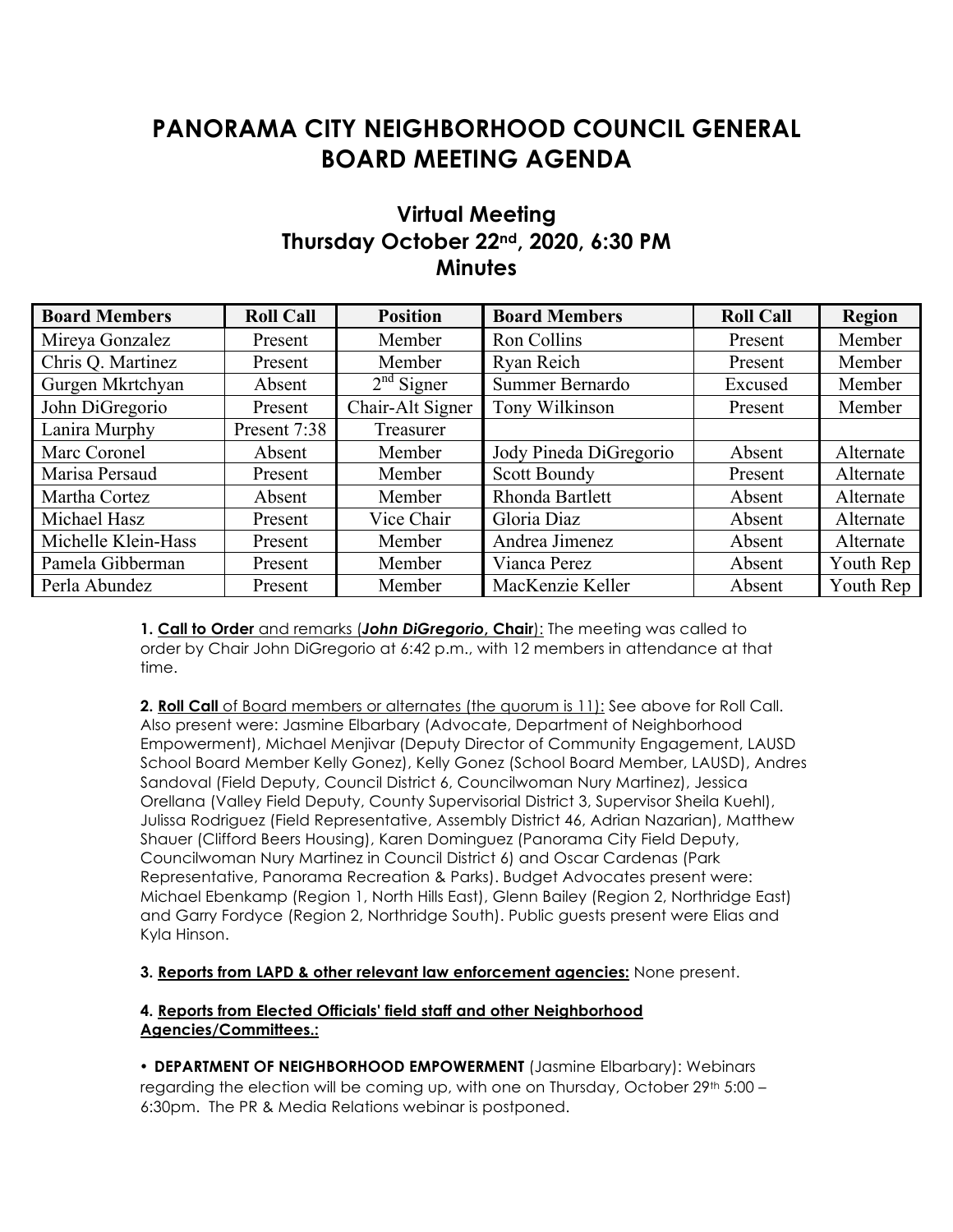# **PANORAMA CITY NEIGHBORHOOD COUNCIL GENERAL BOARD MEETING AGENDA**

# **Virtual Meeting Thursday October 22nd, 2020, 6:30 PM Minutes**

| <b>Board Members</b> | <b>Roll Call</b> | <b>Position</b>  | <b>Board Members</b>   | <b>Roll Call</b> | <b>Region</b> |
|----------------------|------------------|------------------|------------------------|------------------|---------------|
| Mireya Gonzalez      | Present          | Member           | Ron Collins            | Present          | Member        |
| Chris Q. Martinez    | Present          | Member           | Ryan Reich             | Present          | Member        |
| Gurgen Mkrtchyan     | Absent           | $2nd$ Signer     | Summer Bernardo        | Excused          | Member        |
| John DiGregorio      | Present          | Chair-Alt Signer | Tony Wilkinson         | Present          | Member        |
| Lanira Murphy        | Present 7:38     | Treasurer        |                        |                  |               |
| Marc Coronel         | Absent           | Member           | Jody Pineda DiGregorio | Absent           | Alternate     |
| Marisa Persaud       | Present          | Member           | <b>Scott Boundy</b>    | Present          | Alternate     |
| Martha Cortez        | Absent           | Member           | Rhonda Bartlett        | Absent           | Alternate     |
| Michael Hasz         | Present          | Vice Chair       | Gloria Diaz            | Absent           | Alternate     |
| Michelle Klein-Hass  | Present          | Member           | Andrea Jimenez         | Absent           | Alternate     |
| Pamela Gibberman     | Present          | Member           | Vianca Perez           | Absent           | Youth Rep     |
| Perla Abundez        | Present          | Member           | MacKenzie Keller       | Absent           | Youth Rep     |

**1. Call to Order** and remarks (*John DiGregorio***, Chair**): The meeting was called to order by Chair John DiGregorio at 6:42 p.m., with 12 members in attendance at that time.

**2. Roll Call** of Board members or alternates (the quorum is 11): See above for Roll Call. Also present were: Jasmine Elbarbary (Advocate, Department of Neighborhood Empowerment), Michael Menjivar (Deputy Director of Community Engagement, LAUSD School Board Member Kelly Gonez), Kelly Gonez (School Board Member, LAUSD), Andres Sandoval (Field Deputy, Council District 6, Councilwoman Nury Martinez), Jessica Orellana (Valley Field Deputy, County Supervisorial District 3, Supervisor Sheila Kuehl), Julissa Rodriguez (Field Representative, Assembly District 46, Adrian Nazarian), Matthew Shauer (Clifford Beers Housing), Karen Dominguez (Panorama City Field Deputy, Councilwoman Nury Martinez in Council District 6) and Oscar Cardenas (Park Representative, Panorama Recreation & Parks). Budget Advocates present were: Michael Ebenkamp (Region 1, North Hills East), Glenn Bailey (Region 2, Northridge East) and Garry Fordyce (Region 2, Northridge South). Public guests present were Elias and Kyla Hinson.

**3. Reports from LAPD & other relevant law enforcement agencies:** None present.

## **4. Reports from Elected Officials' field staff and other Neighborhood Agencies/Committees.:**

• **DEPARTMENT OF NEIGHBORHOOD EMPOWERMENT** (Jasmine Elbarbary): Webinars regarding the election will be coming up, with one on Thursday, October  $29<sup>th</sup> 5:00 -$ 6:30pm. The PR & Media Relations webinar is postponed.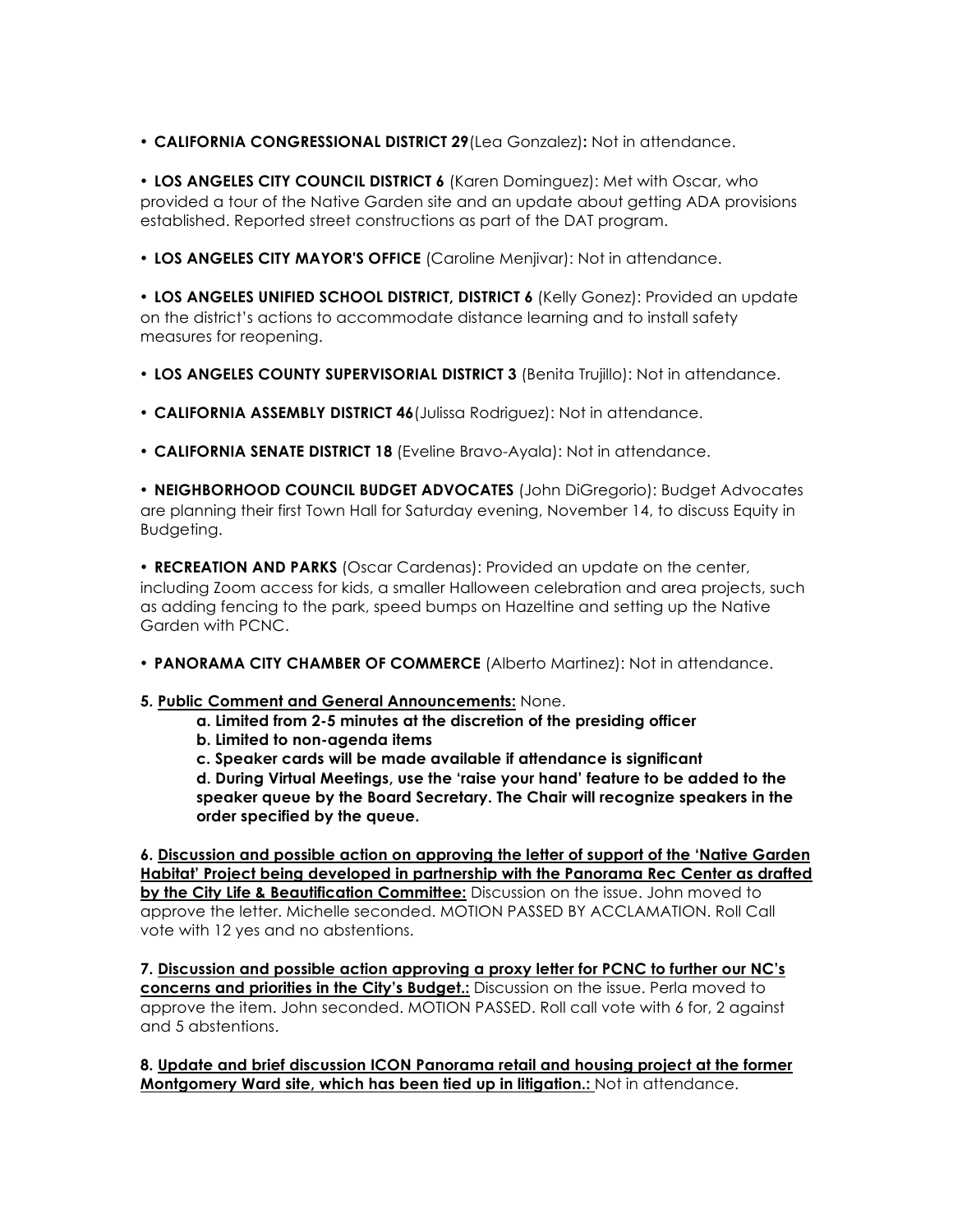• **CALIFORNIA CONGRESSIONAL DISTRICT 29**(Lea Gonzalez)**:** Not in attendance.

• **LOS ANGELES CITY COUNCIL DISTRICT 6** (Karen Dominguez): Met with Oscar, who provided a tour of the Native Garden site and an update about getting ADA provisions established. Reported street constructions as part of the DAT program.

• **LOS ANGELES CITY MAYOR'S OFFICE** (Caroline Menjivar): Not in attendance.

• **LOS ANGELES UNIFIED SCHOOL DISTRICT, DISTRICT 6** (Kelly Gonez): Provided an update on the district's actions to accommodate distance learning and to install safety measures for reopening.

- **LOS ANGELES COUNTY SUPERVISORIAL DISTRICT 3** (Benita Trujillo): Not in attendance.
- **CALIFORNIA ASSEMBLY DISTRICT 46**(Julissa Rodriguez): Not in attendance.
- **CALIFORNIA SENATE DISTRICT 18** (Eveline Bravo-Ayala): Not in attendance.

• **NEIGHBORHOOD COUNCIL BUDGET ADVOCATES** (John DiGregorio): Budget Advocates are planning their first Town Hall for Saturday evening, November 14, to discuss Equity in Budgeting.

• **RECREATION AND PARKS** (Oscar Cardenas): Provided an update on the center, including Zoom access for kids, a smaller Halloween celebration and area projects, such as adding fencing to the park, speed bumps on Hazeltine and setting up the Native Garden with PCNC.

• **PANORAMA CITY CHAMBER OF COMMERCE** (Alberto Martinez): Not in attendance.

## **5. Public Comment and General Announcements:** None.

- **a. Limited from 2-5 minutes at the discretion of the presiding officer**
- **b. Limited to non-agenda items**
- **c. Speaker cards will be made available if attendance is significant**

**d. During Virtual Meetings, use the 'raise your hand' feature to be added to the speaker queue by the Board Secretary. The Chair will recognize speakers in the order specified by the queue.** 

**6. Discussion and possible action on approving the letter of support of the 'Native Garden Habitat' Project being developed in partnership with the Panorama Rec Center as drafted by the City Life & Beautification Committee:** Discussion on the issue. John moved to approve the letter. Michelle seconded. MOTION PASSED BY ACCLAMATION. Roll Call vote with 12 yes and no abstentions.

**7. Discussion and possible action approving a proxy letter for PCNC to further our NC's concerns and priorities in the City's Budget.:** Discussion on the issue. Perla moved to approve the item. John seconded. MOTION PASSED. Roll call vote with 6 for, 2 against and 5 abstentions.

**8. Update and brief discussion ICON Panorama retail and housing project at the former Montgomery Ward site, which has been tied up in litigation.:** Not in attendance.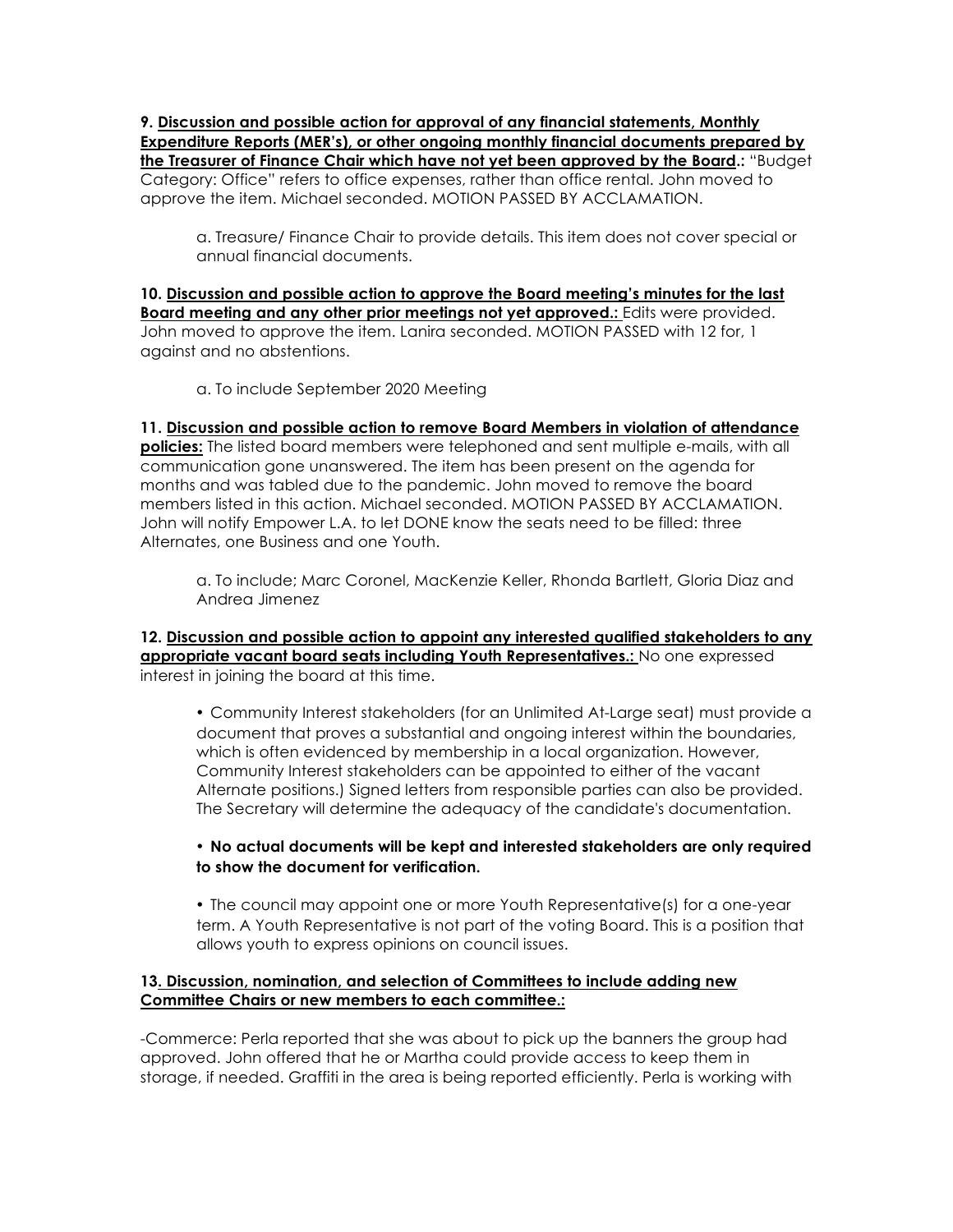**9. Discussion and possible action for approval of any financial statements, Monthly Expenditure Reports (MER's), or other ongoing monthly financial documents prepared by the Treasurer of Finance Chair which have not yet been approved by the Board.:** "Budget Category: Office" refers to office expenses, rather than office rental. John moved to approve the item. Michael seconded. MOTION PASSED BY ACCLAMATION.

a. Treasure/ Finance Chair to provide details. This item does not cover special or annual financial documents.

**10. Discussion and possible action to approve the Board meeting's minutes for the last Board meeting and any other prior meetings not yet approved.:** Edits were provided. John moved to approve the item. Lanira seconded. MOTION PASSED with 12 for, 1 against and no abstentions.

a. To include September 2020 Meeting

**11. Discussion and possible action to remove Board Members in violation of attendance policies:** The listed board members were telephoned and sent multiple e-mails, with all communication gone unanswered. The item has been present on the agenda for months and was tabled due to the pandemic. John moved to remove the board members listed in this action. Michael seconded. MOTION PASSED BY ACCLAMATION. John will notify Empower L.A. to let DONE know the seats need to be filled: three Alternates, one Business and one Youth.

a. To include; Marc Coronel, MacKenzie Keller, Rhonda Bartlett, Gloria Diaz and Andrea Jimenez

#### **12. Discussion and possible action to appoint any interested qualified stakeholders to any appropriate vacant board seats including Youth Representatives.:** No one expressed interest in joining the board at this time.

• Community Interest stakeholders (for an Unlimited At-Large seat) must provide a document that proves a substantial and ongoing interest within the boundaries, which is often evidenced by membership in a local organization. However, Community Interest stakeholders can be appointed to either of the vacant Alternate positions.) Signed letters from responsible parties can also be provided. The Secretary will determine the adequacy of the candidate's documentation.

## • **No actual documents will be kept and interested stakeholders are only required to show the document for verification.**

• The council may appoint one or more Youth Representative(s) for a one-year term. A Youth Representative is not part of the voting Board. This is a position that allows youth to express opinions on council issues.

## **13. Discussion, nomination, and selection of Committees to include adding new Committee Chairs or new members to each committee.:**

-Commerce: Perla reported that she was about to pick up the banners the group had approved. John offered that he or Martha could provide access to keep them in storage, if needed. Graffiti in the area is being reported efficiently. Perla is working with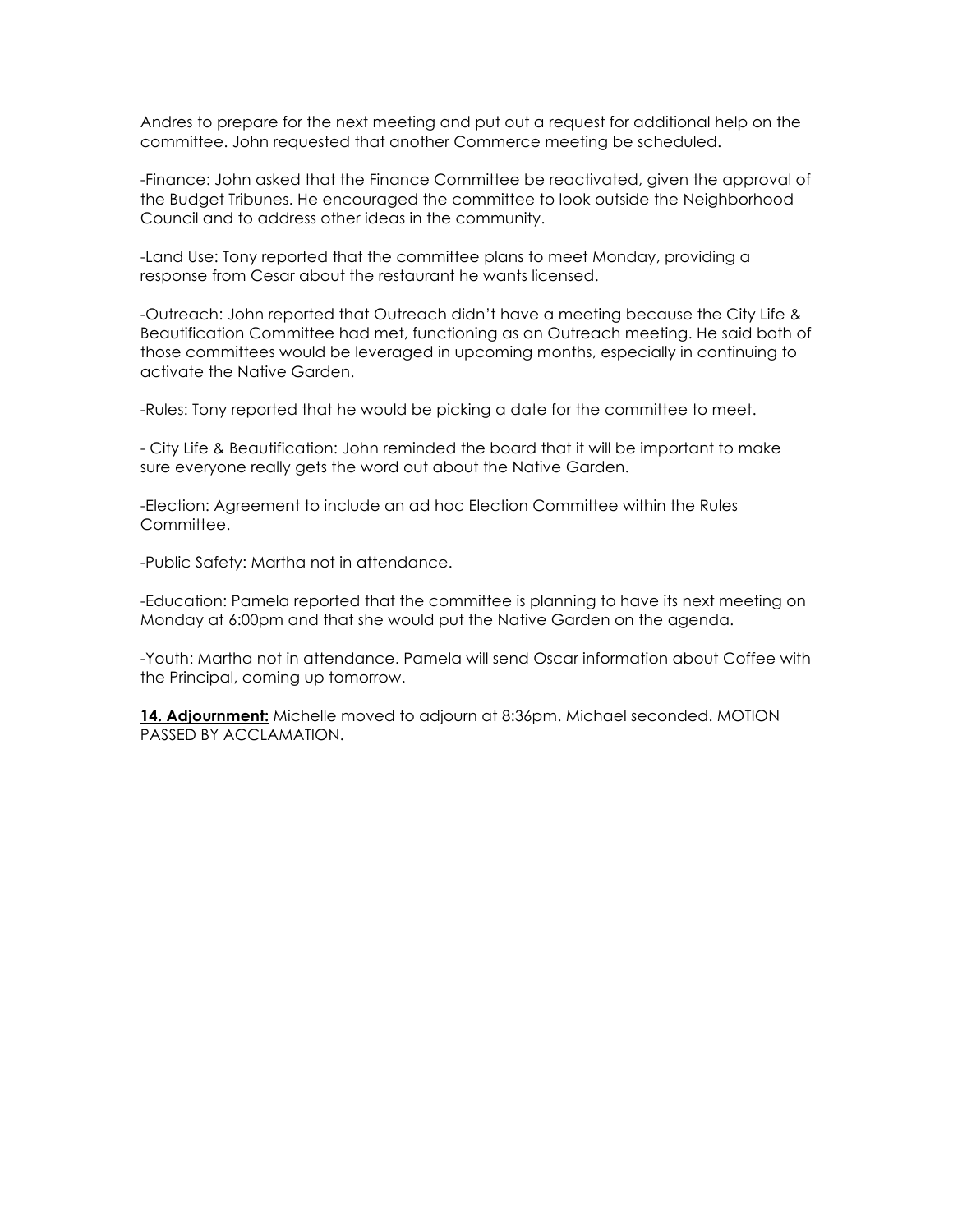Andres to prepare for the next meeting and put out a request for additional help on the committee. John requested that another Commerce meeting be scheduled.

-Finance: John asked that the Finance Committee be reactivated, given the approval of the Budget Tribunes. He encouraged the committee to look outside the Neighborhood Council and to address other ideas in the community.

-Land Use: Tony reported that the committee plans to meet Monday, providing a response from Cesar about the restaurant he wants licensed.

-Outreach: John reported that Outreach didn't have a meeting because the City Life & Beautification Committee had met, functioning as an Outreach meeting. He said both of those committees would be leveraged in upcoming months, especially in continuing to activate the Native Garden.

-Rules: Tony reported that he would be picking a date for the committee to meet.

- City Life & Beautification: John reminded the board that it will be important to make sure everyone really gets the word out about the Native Garden.

-Election: Agreement to include an ad hoc Election Committee within the Rules Committee.

-Public Safety: Martha not in attendance.

-Education: Pamela reported that the committee is planning to have its next meeting on Monday at 6:00pm and that she would put the Native Garden on the agenda.

-Youth: Martha not in attendance. Pamela will send Oscar information about Coffee with the Principal, coming up tomorrow.

**14. Adjournment:** Michelle moved to adjourn at 8:36pm. Michael seconded. MOTION PASSED BY ACCLAMATION.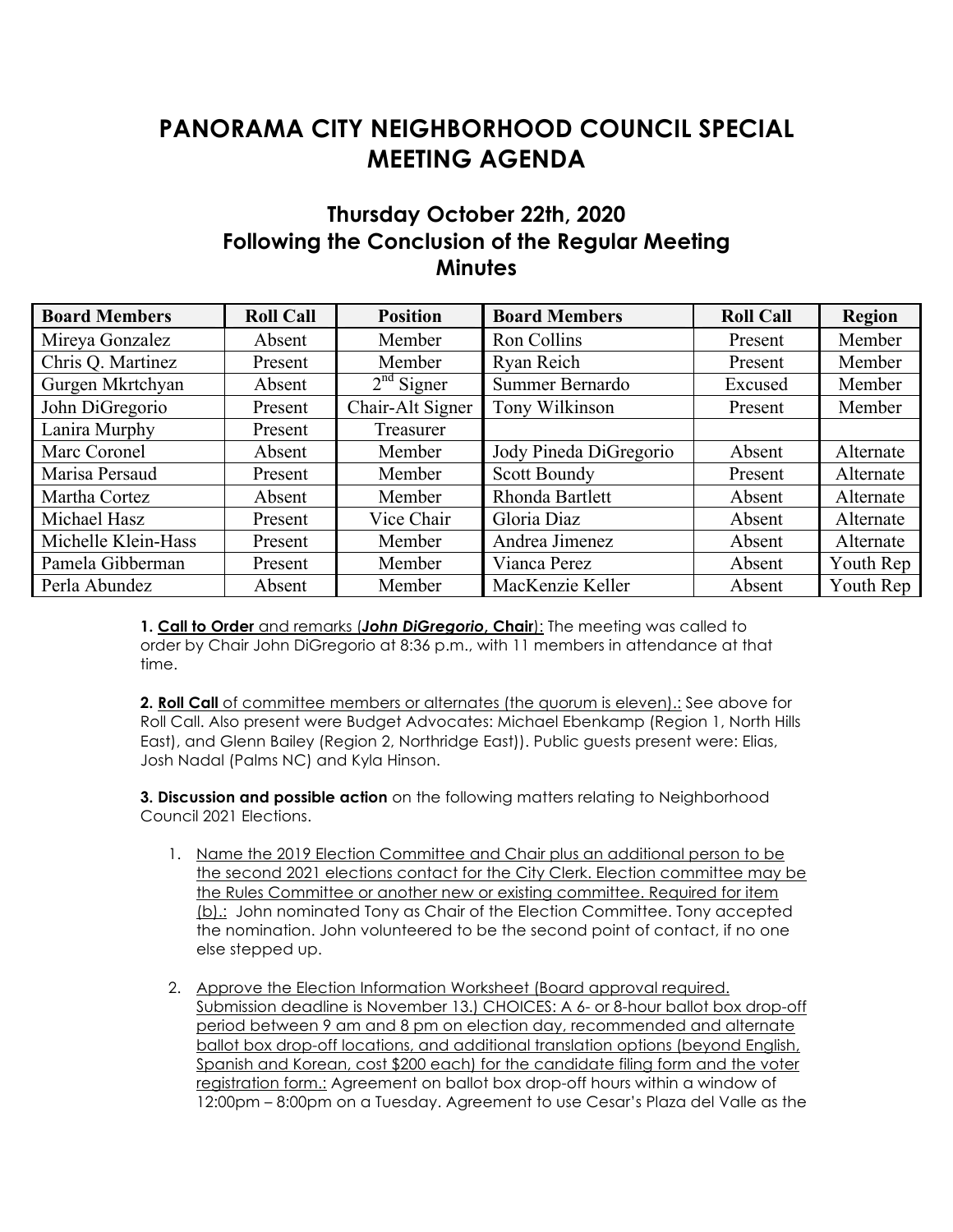# **PANORAMA CITY NEIGHBORHOOD COUNCIL SPECIAL MEETING AGENDA**

# **Thursday October 22th, 2020 Following the Conclusion of the Regular Meeting Minutes**

| <b>Board Members</b> | <b>Roll Call</b> | <b>Position</b>  | <b>Board Members</b>   | <b>Roll Call</b> | <b>Region</b> |
|----------------------|------------------|------------------|------------------------|------------------|---------------|
| Mireya Gonzalez      | Absent           | Member           | Ron Collins            | Present          | Member        |
| Chris Q. Martinez    | Present          | Member           | Ryan Reich             | Present          | Member        |
| Gurgen Mkrtchyan     | Absent           | $2nd$ Signer     | Summer Bernardo        | Excused          | Member        |
| John DiGregorio      | Present          | Chair-Alt Signer | Tony Wilkinson         | Present          | Member        |
| Lanira Murphy        | Present          | Treasurer        |                        |                  |               |
| Marc Coronel         | Absent           | Member           | Jody Pineda DiGregorio | Absent           | Alternate     |
| Marisa Persaud       | Present          | Member           | <b>Scott Boundy</b>    | Present          | Alternate     |
| Martha Cortez        | Absent           | Member           | Rhonda Bartlett        | Absent           | Alternate     |
| Michael Hasz         | Present          | Vice Chair       | Gloria Diaz            | Absent           | Alternate     |
| Michelle Klein-Hass  | Present          | Member           | Andrea Jimenez         | Absent           | Alternate     |
| Pamela Gibberman     | Present          | Member           | Vianca Perez           | Absent           | Youth Rep     |
| Perla Abundez        | Absent           | Member           | MacKenzie Keller       | Absent           | Youth Rep     |

**1. Call to Order** and remarks (*John DiGregorio***, Chair**): The meeting was called to order by Chair John DiGregorio at 8:36 p.m., with 11 members in attendance at that time.

**2. Roll Call** of committee members or alternates (the quorum is eleven).: See above for Roll Call. Also present were Budget Advocates: Michael Ebenkamp (Region 1, North Hills East), and Glenn Bailey (Region 2, Northridge East)). Public guests present were: Elias, Josh Nadal (Palms NC) and Kyla Hinson.

**3. Discussion and possible action** on the following matters relating to Neighborhood Council 2021 Elections.

- 1. Name the 2019 Election Committee and Chair plus an additional person to be the second 2021 elections contact for the City Clerk. Election committee may be the Rules Committee or another new or existing committee. Required for item (b).: John nominated Tony as Chair of the Election Committee. Tony accepted the nomination. John volunteered to be the second point of contact, if no one else stepped up.
- 2. Approve the Election Information Worksheet (Board approval required. Submission deadline is November 13.) CHOICES: A 6- or 8-hour ballot box drop-off period between 9 am and 8 pm on election day, recommended and alternate ballot box drop-off locations, and additional translation options (beyond English, Spanish and Korean, cost \$200 each) for the candidate filing form and the voter registration form.: Agreement on ballot box drop-off hours within a window of 12:00pm – 8:00pm on a Tuesday. Agreement to use Cesar's Plaza del Valle as the